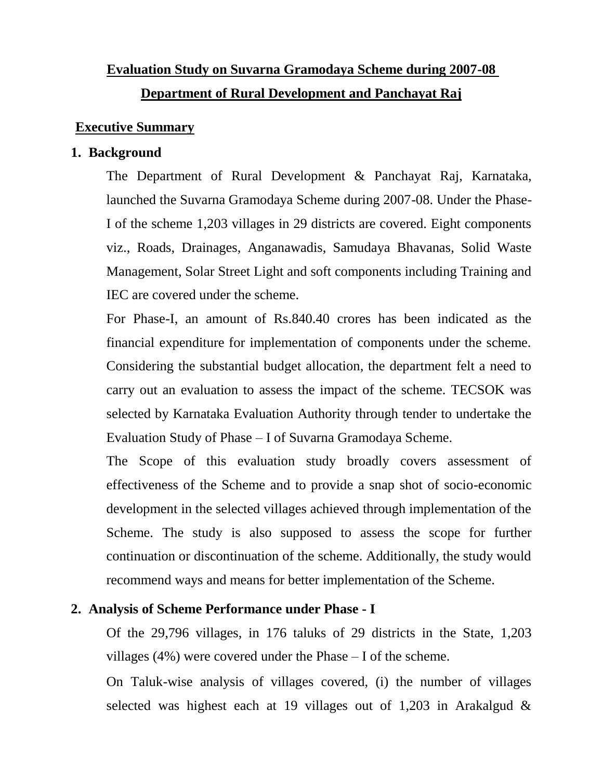# **Evaluation Study on Suvarna Gramodaya Scheme during 2007-08 Department of Rural Development and Panchayat Raj**

## **Executive Summary**

### **1. Background**

The Department of Rural Development & Panchayat Raj, Karnataka, launched the Suvarna Gramodaya Scheme during 2007-08. Under the Phase-I of the scheme 1,203 villages in 29 districts are covered. Eight components viz., Roads, Drainages, Anganawadis, Samudaya Bhavanas, Solid Waste Management, Solar Street Light and soft components including Training and IEC are covered under the scheme.

For Phase-I, an amount of Rs.840.40 crores has been indicated as the financial expenditure for implementation of components under the scheme. Considering the substantial budget allocation, the department felt a need to carry out an evaluation to assess the impact of the scheme. TECSOK was selected by Karnataka Evaluation Authority through tender to undertake the Evaluation Study of Phase – I of Suvarna Gramodaya Scheme.

The Scope of this evaluation study broadly covers assessment of effectiveness of the Scheme and to provide a snap shot of socio-economic development in the selected villages achieved through implementation of the Scheme. The study is also supposed to assess the scope for further continuation or discontinuation of the scheme. Additionally, the study would recommend ways and means for better implementation of the Scheme.

## **2. Analysis of Scheme Performance under Phase - I**

Of the 29,796 villages, in 176 taluks of 29 districts in the State, 1,203 villages (4%) were covered under the Phase – I of the scheme.

On Taluk-wise analysis of villages covered, (i) the number of villages selected was highest each at 19 villages out of 1,203 in Arakalgud &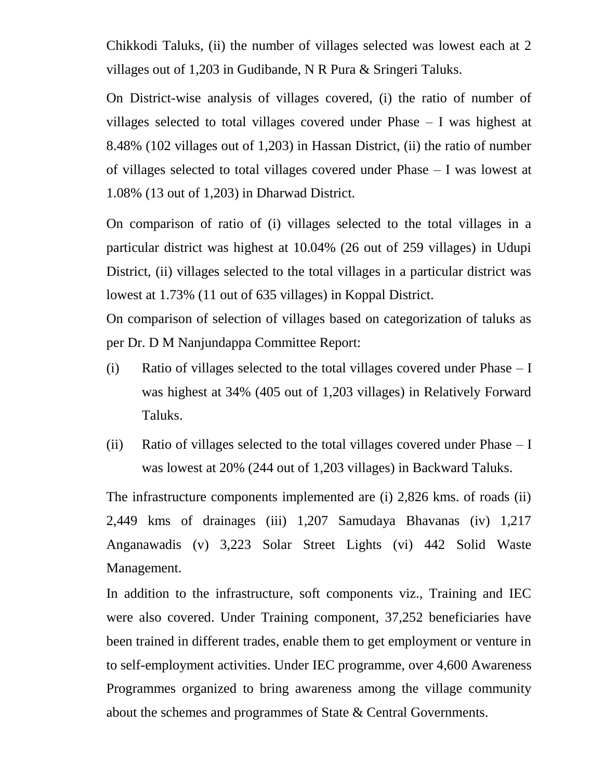Chikkodi Taluks, (ii) the number of villages selected was lowest each at 2 villages out of 1,203 in Gudibande, N R Pura & Sringeri Taluks.

On District-wise analysis of villages covered, (i) the ratio of number of villages selected to total villages covered under Phase – I was highest at 8.48% (102 villages out of 1,203) in Hassan District, (ii) the ratio of number of villages selected to total villages covered under Phase – I was lowest at 1.08% (13 out of 1,203) in Dharwad District.

On comparison of ratio of (i) villages selected to the total villages in a particular district was highest at 10.04% (26 out of 259 villages) in Udupi District, (ii) villages selected to the total villages in a particular district was lowest at 1.73% (11 out of 635 villages) in Koppal District.

On comparison of selection of villages based on categorization of taluks as per Dr. D M Nanjundappa Committee Report:

- (i) Ratio of villages selected to the total villages covered under Phase I was highest at 34% (405 out of 1,203 villages) in Relatively Forward Taluks.
- (ii) Ratio of villages selected to the total villages covered under Phase I was lowest at 20% (244 out of 1,203 villages) in Backward Taluks.

The infrastructure components implemented are (i) 2,826 kms. of roads (ii) 2,449 kms of drainages (iii) 1,207 Samudaya Bhavanas (iv) 1,217 Anganawadis (v) 3,223 Solar Street Lights (vi) 442 Solid Waste Management.

In addition to the infrastructure, soft components viz., Training and IEC were also covered. Under Training component, 37,252 beneficiaries have been trained in different trades, enable them to get employment or venture in to self-employment activities. Under IEC programme, over 4,600 Awareness Programmes organized to bring awareness among the village community about the schemes and programmes of State & Central Governments.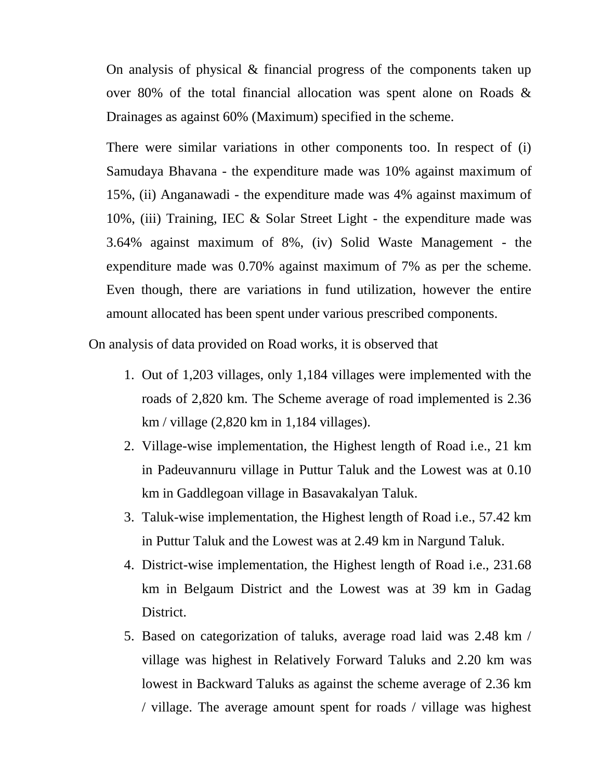On analysis of physical & financial progress of the components taken up over 80% of the total financial allocation was spent alone on Roads & Drainages as against 60% (Maximum) specified in the scheme.

There were similar variations in other components too. In respect of (i) Samudaya Bhavana - the expenditure made was 10% against maximum of 15%, (ii) Anganawadi - the expenditure made was 4% against maximum of 10%, (iii) Training, IEC & Solar Street Light - the expenditure made was 3.64% against maximum of 8%, (iv) Solid Waste Management - the expenditure made was 0.70% against maximum of 7% as per the scheme. Even though, there are variations in fund utilization, however the entire amount allocated has been spent under various prescribed components.

On analysis of data provided on Road works, it is observed that

- 1. Out of 1,203 villages, only 1,184 villages were implemented with the roads of 2,820 km. The Scheme average of road implemented is 2.36 km / village (2,820 km in 1,184 villages).
- 2. Village-wise implementation, the Highest length of Road i.e., 21 km in Padeuvannuru village in Puttur Taluk and the Lowest was at 0.10 km in Gaddlegoan village in Basavakalyan Taluk.
- 3. Taluk-wise implementation, the Highest length of Road i.e., 57.42 km in Puttur Taluk and the Lowest was at 2.49 km in Nargund Taluk.
- 4. District-wise implementation, the Highest length of Road i.e., 231.68 km in Belgaum District and the Lowest was at 39 km in Gadag District.
- 5. Based on categorization of taluks, average road laid was 2.48 km / village was highest in Relatively Forward Taluks and 2.20 km was lowest in Backward Taluks as against the scheme average of 2.36 km / village. The average amount spent for roads / village was highest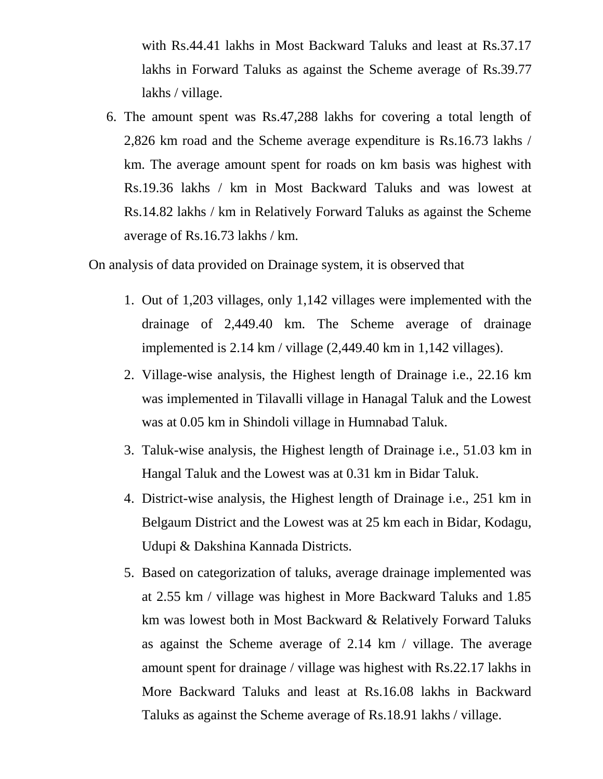with Rs.44.41 lakhs in Most Backward Taluks and least at Rs.37.17 lakhs in Forward Taluks as against the Scheme average of Rs.39.77 lakhs / village.

6. The amount spent was Rs.47,288 lakhs for covering a total length of 2,826 km road and the Scheme average expenditure is Rs.16.73 lakhs / km. The average amount spent for roads on km basis was highest with Rs.19.36 lakhs / km in Most Backward Taluks and was lowest at Rs.14.82 lakhs / km in Relatively Forward Taluks as against the Scheme average of Rs.16.73 lakhs / km.

On analysis of data provided on Drainage system, it is observed that

- 1. Out of 1,203 villages, only 1,142 villages were implemented with the drainage of 2,449.40 km. The Scheme average of drainage implemented is 2.14 km / village (2,449.40 km in 1,142 villages).
- 2. Village-wise analysis, the Highest length of Drainage i.e., 22.16 km was implemented in Tilavalli village in Hanagal Taluk and the Lowest was at 0.05 km in Shindoli village in Humnabad Taluk.
- 3. Taluk-wise analysis, the Highest length of Drainage i.e., 51.03 km in Hangal Taluk and the Lowest was at 0.31 km in Bidar Taluk.
- 4. District-wise analysis, the Highest length of Drainage i.e., 251 km in Belgaum District and the Lowest was at 25 km each in Bidar, Kodagu, Udupi & Dakshina Kannada Districts.
- 5. Based on categorization of taluks, average drainage implemented was at 2.55 km / village was highest in More Backward Taluks and 1.85 km was lowest both in Most Backward & Relatively Forward Taluks as against the Scheme average of 2.14 km / village. The average amount spent for drainage / village was highest with Rs.22.17 lakhs in More Backward Taluks and least at Rs.16.08 lakhs in Backward Taluks as against the Scheme average of Rs.18.91 lakhs / village.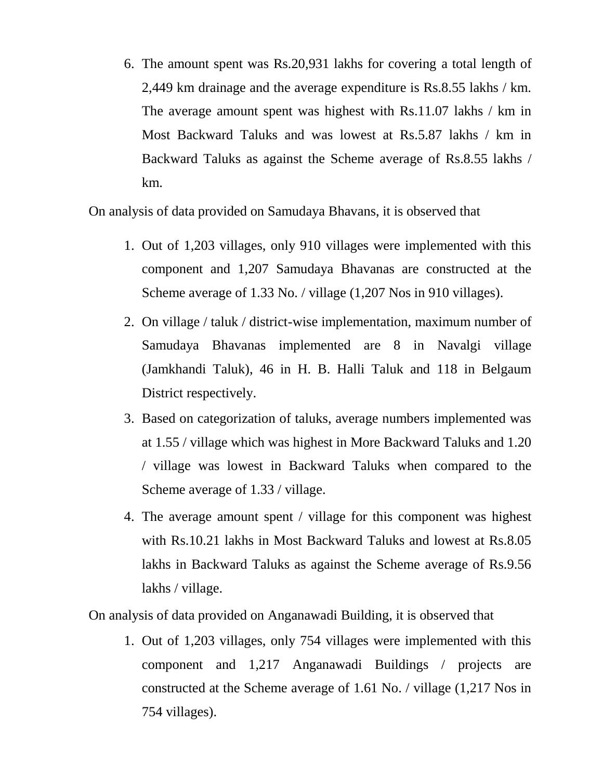6. The amount spent was Rs.20,931 lakhs for covering a total length of 2,449 km drainage and the average expenditure is Rs.8.55 lakhs / km. The average amount spent was highest with Rs.11.07 lakhs / km in Most Backward Taluks and was lowest at Rs.5.87 lakhs / km in Backward Taluks as against the Scheme average of Rs.8.55 lakhs / km.

On analysis of data provided on Samudaya Bhavans, it is observed that

- 1. Out of 1,203 villages, only 910 villages were implemented with this component and 1,207 Samudaya Bhavanas are constructed at the Scheme average of 1.33 No. / village (1,207 Nos in 910 villages).
- 2. On village / taluk / district-wise implementation, maximum number of Samudaya Bhavanas implemented are 8 in Navalgi village (Jamkhandi Taluk), 46 in H. B. Halli Taluk and 118 in Belgaum District respectively.
- 3. Based on categorization of taluks, average numbers implemented was at 1.55 / village which was highest in More Backward Taluks and 1.20 / village was lowest in Backward Taluks when compared to the Scheme average of 1.33 / village.
- 4. The average amount spent / village for this component was highest with Rs.10.21 lakhs in Most Backward Taluks and lowest at Rs.8.05 lakhs in Backward Taluks as against the Scheme average of Rs.9.56 lakhs / village.

On analysis of data provided on Anganawadi Building, it is observed that

1. Out of 1,203 villages, only 754 villages were implemented with this component and 1,217 Anganawadi Buildings / projects are constructed at the Scheme average of 1.61 No. / village (1,217 Nos in 754 villages).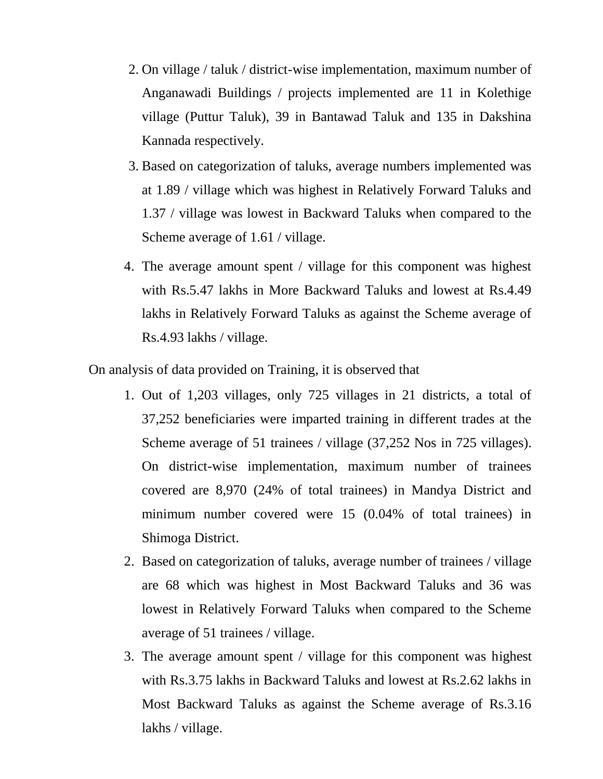- 2. On village / taluk / district-wise implementation, maximum number of Anganawadi Buildings / projects implemented are 11 in Kolethige village (Puttur Taluk), 39 in Bantawad Taluk and 135 in Dakshina Kannada respectively.
- 3. Based on categorization of taluks, average numbers implemented was at 1.89 / village which was highest in Relatively Forward Taluks and 1.37 / village was lowest in Backward Taluks when compared to the Scheme average of 1.61 / village.
- 4. The average amount spent / village for this component was highest with Rs.5.47 lakhs in More Backward Taluks and lowest at Rs.4.49 lakhs in Relatively Forward Taluks as against the Scheme average of Rs.4.93 lakhs / village.

On analysis of data provided on Training, it is observed that

- 1. Out of 1,203 villages, only 725 villages in 21 districts, a total of 37,252 beneficiaries were imparted training in different trades at the Scheme average of 51 trainees / village (37,252 Nos in 725 villages). On district-wise implementation, maximum number of trainees covered are 8,970 (24% of total trainees) in Mandya District and minimum number covered were 15 (0.04% of total trainees) in Shimoga District.
- 2. Based on categorization of taluks, average number of trainees / village are 68 which was highest in Most Backward Taluks and 36 was lowest in Relatively Forward Taluks when compared to the Scheme average of 51 trainees / village.
- 3. The average amount spent / village for this component was highest with Rs.3.75 lakhs in Backward Taluks and lowest at Rs.2.62 lakhs in Most Backward Taluks as against the Scheme average of Rs.3.16 lakhs / village.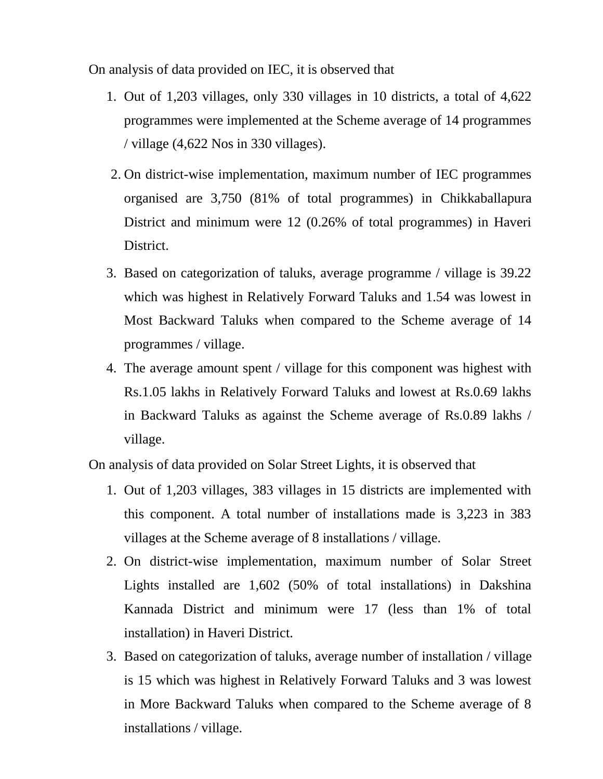On analysis of data provided on IEC, it is observed that

- 1. Out of 1,203 villages, only 330 villages in 10 districts, a total of 4,622 programmes were implemented at the Scheme average of 14 programmes / village (4,622 Nos in 330 villages).
- 2. On district-wise implementation, maximum number of IEC programmes organised are 3,750 (81% of total programmes) in Chikkaballapura District and minimum were 12 (0.26% of total programmes) in Haveri District.
- 3. Based on categorization of taluks, average programme / village is 39.22 which was highest in Relatively Forward Taluks and 1.54 was lowest in Most Backward Taluks when compared to the Scheme average of 14 programmes / village.
- 4. The average amount spent / village for this component was highest with Rs.1.05 lakhs in Relatively Forward Taluks and lowest at Rs.0.69 lakhs in Backward Taluks as against the Scheme average of Rs.0.89 lakhs / village.

On analysis of data provided on Solar Street Lights, it is observed that

- 1. Out of 1,203 villages, 383 villages in 15 districts are implemented with this component. A total number of installations made is 3,223 in 383 villages at the Scheme average of 8 installations / village.
- 2. On district-wise implementation, maximum number of Solar Street Lights installed are 1,602 (50% of total installations) in Dakshina Kannada District and minimum were 17 (less than 1% of total installation) in Haveri District.
- 3. Based on categorization of taluks, average number of installation / village is 15 which was highest in Relatively Forward Taluks and 3 was lowest in More Backward Taluks when compared to the Scheme average of 8 installations / village.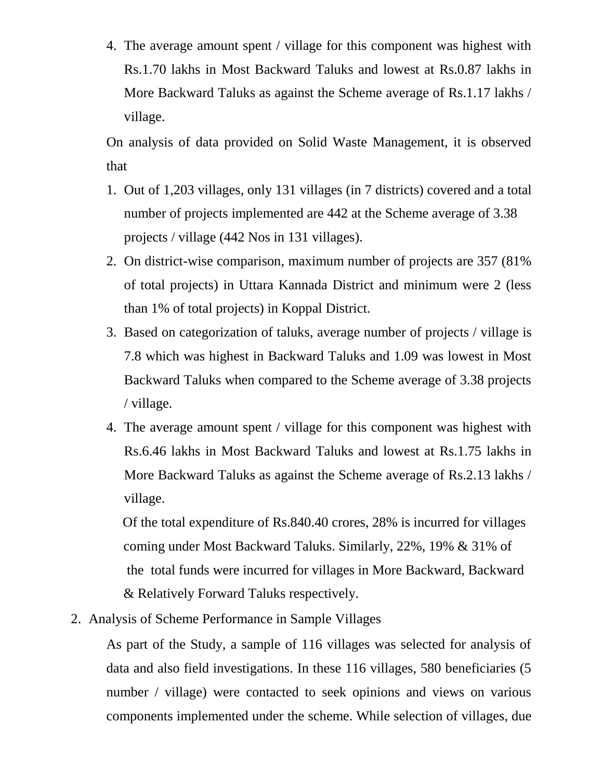4. The average amount spent / village for this component was highest with Rs.1.70 lakhs in Most Backward Taluks and lowest at Rs.0.87 lakhs in More Backward Taluks as against the Scheme average of Rs.1.17 lakhs / village.

On analysis of data provided on Solid Waste Management, it is observed that

- 1. Out of 1,203 villages, only 131 villages (in 7 districts) covered and a total number of projects implemented are 442 at the Scheme average of 3.38 projects / village (442 Nos in 131 villages).
- 2. On district-wise comparison, maximum number of projects are 357 (81% of total projects) in Uttara Kannada District and minimum were 2 (less than 1% of total projects) in Koppal District.
- 3. Based on categorization of taluks, average number of projects / village is 7.8 which was highest in Backward Taluks and 1.09 was lowest in Most Backward Taluks when compared to the Scheme average of 3.38 projects / village.
- 4. The average amount spent / village for this component was highest with Rs.6.46 lakhs in Most Backward Taluks and lowest at Rs.1.75 lakhs in More Backward Taluks as against the Scheme average of Rs.2.13 lakhs / village.

 Of the total expenditure of Rs.840.40 crores, 28% is incurred for villages coming under Most Backward Taluks. Similarly, 22%, 19% & 31% of the total funds were incurred for villages in More Backward, Backward & Relatively Forward Taluks respectively.

2. Analysis of Scheme Performance in Sample Villages

As part of the Study, a sample of 116 villages was selected for analysis of data and also field investigations. In these 116 villages, 580 beneficiaries (5 number / village) were contacted to seek opinions and views on various components implemented under the scheme. While selection of villages, due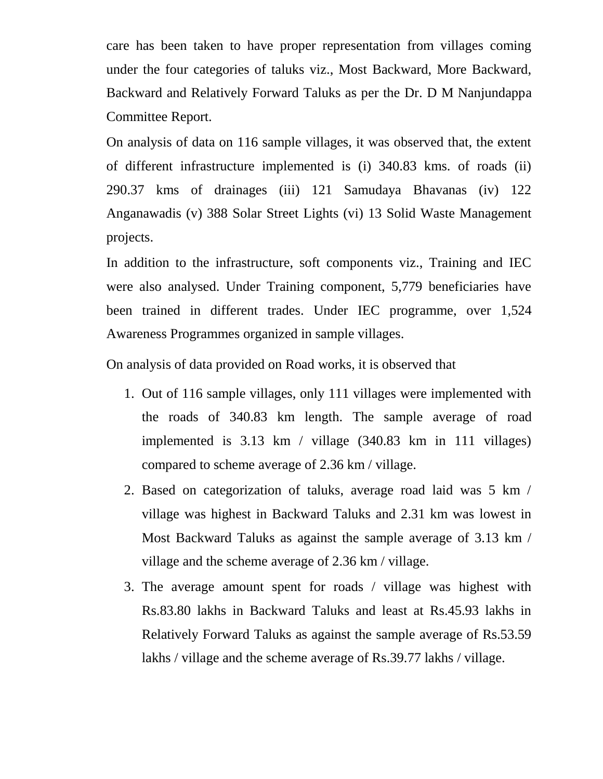care has been taken to have proper representation from villages coming under the four categories of taluks viz., Most Backward, More Backward, Backward and Relatively Forward Taluks as per the Dr. D M Nanjundappa Committee Report.

On analysis of data on 116 sample villages, it was observed that, the extent of different infrastructure implemented is (i) 340.83 kms. of roads (ii) 290.37 kms of drainages (iii) 121 Samudaya Bhavanas (iv) 122 Anganawadis (v) 388 Solar Street Lights (vi) 13 Solid Waste Management projects.

In addition to the infrastructure, soft components viz., Training and IEC were also analysed. Under Training component, 5,779 beneficiaries have been trained in different trades. Under IEC programme, over 1,524 Awareness Programmes organized in sample villages.

On analysis of data provided on Road works, it is observed that

- 1. Out of 116 sample villages, only 111 villages were implemented with the roads of 340.83 km length. The sample average of road implemented is 3.13 km / village (340.83 km in 111 villages) compared to scheme average of 2.36 km / village.
- 2. Based on categorization of taluks, average road laid was 5 km / village was highest in Backward Taluks and 2.31 km was lowest in Most Backward Taluks as against the sample average of 3.13 km / village and the scheme average of 2.36 km / village.
- 3. The average amount spent for roads / village was highest with Rs.83.80 lakhs in Backward Taluks and least at Rs.45.93 lakhs in Relatively Forward Taluks as against the sample average of Rs.53.59 lakhs / village and the scheme average of Rs.39.77 lakhs / village.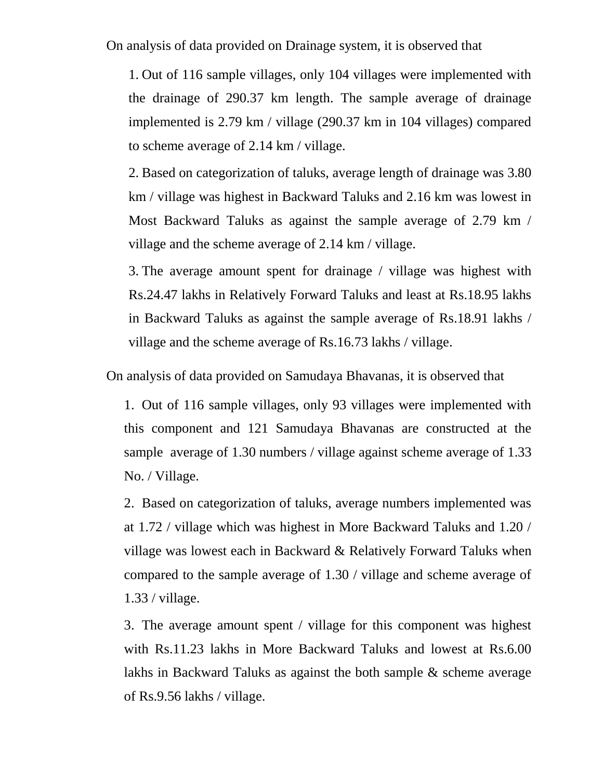On analysis of data provided on Drainage system, it is observed that

1. Out of 116 sample villages, only 104 villages were implemented with the drainage of 290.37 km length. The sample average of drainage implemented is 2.79 km / village (290.37 km in 104 villages) compared to scheme average of 2.14 km / village.

2. Based on categorization of taluks, average length of drainage was 3.80 km / village was highest in Backward Taluks and 2.16 km was lowest in Most Backward Taluks as against the sample average of 2.79 km / village and the scheme average of 2.14 km / village.

3. The average amount spent for drainage / village was highest with Rs.24.47 lakhs in Relatively Forward Taluks and least at Rs.18.95 lakhs in Backward Taluks as against the sample average of Rs.18.91 lakhs / village and the scheme average of Rs.16.73 lakhs / village.

On analysis of data provided on Samudaya Bhavanas, it is observed that

1. Out of 116 sample villages, only 93 villages were implemented with this component and 121 Samudaya Bhavanas are constructed at the sample average of 1.30 numbers / village against scheme average of 1.33 No. / Village.

2. Based on categorization of taluks, average numbers implemented was at 1.72 / village which was highest in More Backward Taluks and 1.20 / village was lowest each in Backward & Relatively Forward Taluks when compared to the sample average of 1.30 / village and scheme average of 1.33 / village.

3. The average amount spent / village for this component was highest with Rs.11.23 lakhs in More Backward Taluks and lowest at Rs.6.00 lakhs in Backward Taluks as against the both sample & scheme average of Rs.9.56 lakhs / village.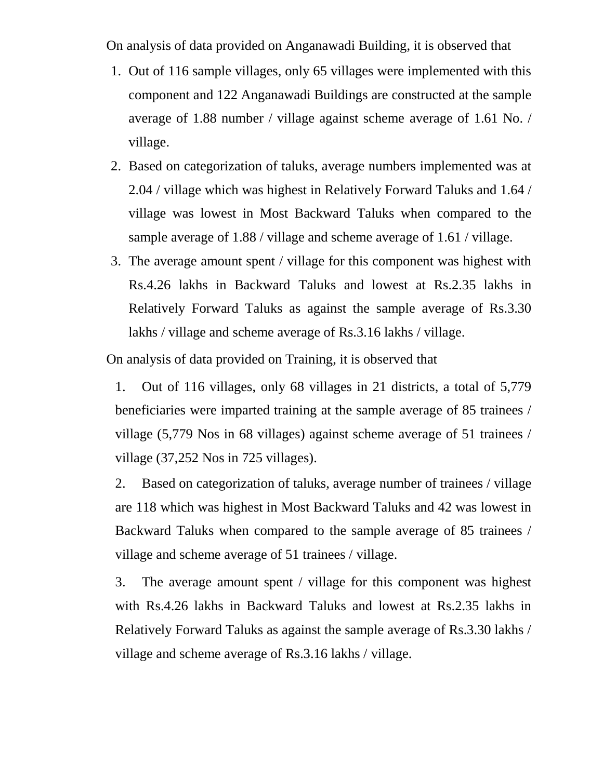On analysis of data provided on Anganawadi Building, it is observed that

- 1. Out of 116 sample villages, only 65 villages were implemented with this component and 122 Anganawadi Buildings are constructed at the sample average of 1.88 number / village against scheme average of 1.61 No. / village.
- 2. Based on categorization of taluks, average numbers implemented was at 2.04 / village which was highest in Relatively Forward Taluks and 1.64 / village was lowest in Most Backward Taluks when compared to the sample average of 1.88 / village and scheme average of 1.61 / village.
- 3. The average amount spent / village for this component was highest with Rs.4.26 lakhs in Backward Taluks and lowest at Rs.2.35 lakhs in Relatively Forward Taluks as against the sample average of Rs.3.30 lakhs / village and scheme average of Rs.3.16 lakhs / village.

On analysis of data provided on Training, it is observed that

1. Out of 116 villages, only 68 villages in 21 districts, a total of 5,779 beneficiaries were imparted training at the sample average of 85 trainees / village (5,779 Nos in 68 villages) against scheme average of 51 trainees / village (37,252 Nos in 725 villages).

2. Based on categorization of taluks, average number of trainees / village are 118 which was highest in Most Backward Taluks and 42 was lowest in Backward Taluks when compared to the sample average of 85 trainees / village and scheme average of 51 trainees / village.

3. The average amount spent / village for this component was highest with Rs.4.26 lakhs in Backward Taluks and lowest at Rs.2.35 lakhs in Relatively Forward Taluks as against the sample average of Rs.3.30 lakhs / village and scheme average of Rs.3.16 lakhs / village.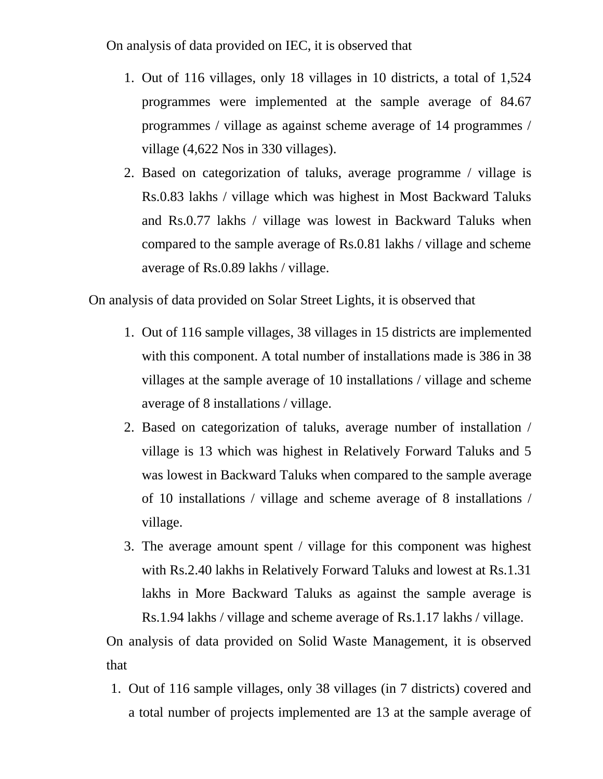On analysis of data provided on IEC, it is observed that

- 1. Out of 116 villages, only 18 villages in 10 districts, a total of 1,524 programmes were implemented at the sample average of 84.67 programmes / village as against scheme average of 14 programmes / village (4,622 Nos in 330 villages).
- 2. Based on categorization of taluks, average programme / village is Rs.0.83 lakhs / village which was highest in Most Backward Taluks and Rs.0.77 lakhs / village was lowest in Backward Taluks when compared to the sample average of Rs.0.81 lakhs / village and scheme average of Rs.0.89 lakhs / village.

On analysis of data provided on Solar Street Lights, it is observed that

- 1. Out of 116 sample villages, 38 villages in 15 districts are implemented with this component. A total number of installations made is 386 in 38 villages at the sample average of 10 installations / village and scheme average of 8 installations / village.
- 2. Based on categorization of taluks, average number of installation / village is 13 which was highest in Relatively Forward Taluks and 5 was lowest in Backward Taluks when compared to the sample average of 10 installations / village and scheme average of 8 installations / village.
- 3. The average amount spent / village for this component was highest with Rs.2.40 lakhs in Relatively Forward Taluks and lowest at Rs.1.31 lakhs in More Backward Taluks as against the sample average is Rs.1.94 lakhs / village and scheme average of Rs.1.17 lakhs / village.

On analysis of data provided on Solid Waste Management, it is observed that

1. Out of 116 sample villages, only 38 villages (in 7 districts) covered and a total number of projects implemented are 13 at the sample average of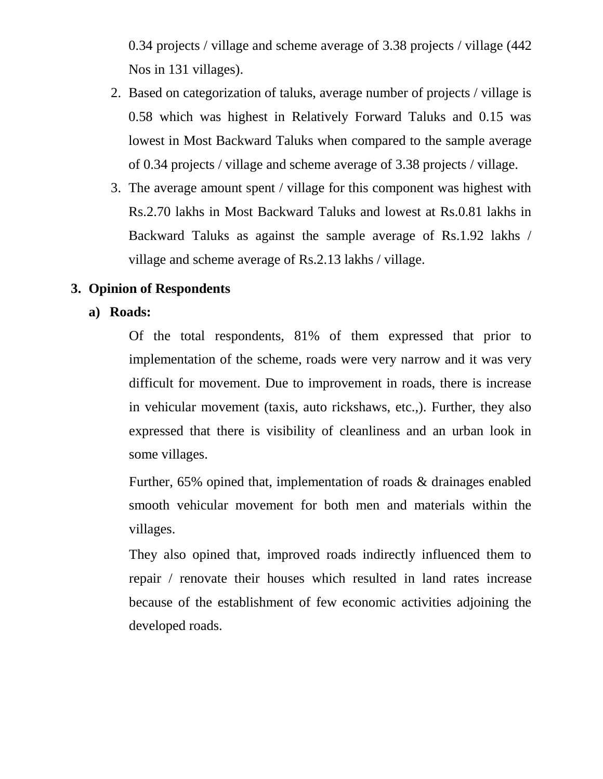0.34 projects / village and scheme average of 3.38 projects / village (442 Nos in 131 villages).

- 2. Based on categorization of taluks, average number of projects / village is 0.58 which was highest in Relatively Forward Taluks and 0.15 was lowest in Most Backward Taluks when compared to the sample average of 0.34 projects / village and scheme average of 3.38 projects / village.
- 3. The average amount spent / village for this component was highest with Rs.2.70 lakhs in Most Backward Taluks and lowest at Rs.0.81 lakhs in Backward Taluks as against the sample average of Rs.1.92 lakhs / village and scheme average of Rs.2.13 lakhs / village.

# **3. Opinion of Respondents**

## **a) Roads:**

Of the total respondents, 81% of them expressed that prior to implementation of the scheme, roads were very narrow and it was very difficult for movement. Due to improvement in roads, there is increase in vehicular movement (taxis, auto rickshaws, etc.,). Further, they also expressed that there is visibility of cleanliness and an urban look in some villages.

Further, 65% opined that, implementation of roads & drainages enabled smooth vehicular movement for both men and materials within the villages.

They also opined that, improved roads indirectly influenced them to repair / renovate their houses which resulted in land rates increase because of the establishment of few economic activities adjoining the developed roads.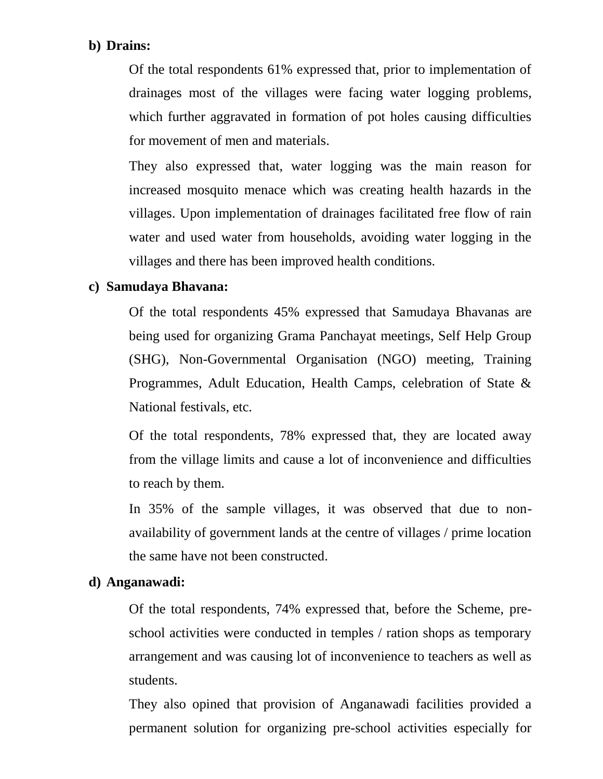## **b) Drains:**

Of the total respondents 61% expressed that, prior to implementation of drainages most of the villages were facing water logging problems, which further aggravated in formation of pot holes causing difficulties for movement of men and materials.

They also expressed that, water logging was the main reason for increased mosquito menace which was creating health hazards in the villages. Upon implementation of drainages facilitated free flow of rain water and used water from households, avoiding water logging in the villages and there has been improved health conditions.

## **c) Samudaya Bhavana:**

Of the total respondents 45% expressed that Samudaya Bhavanas are being used for organizing Grama Panchayat meetings, Self Help Group (SHG), Non-Governmental Organisation (NGO) meeting, Training Programmes, Adult Education, Health Camps, celebration of State & National festivals, etc.

Of the total respondents, 78% expressed that, they are located away from the village limits and cause a lot of inconvenience and difficulties to reach by them.

In 35% of the sample villages, it was observed that due to nonavailability of government lands at the centre of villages / prime location the same have not been constructed.

## **d) Anganawadi:**

Of the total respondents, 74% expressed that, before the Scheme, preschool activities were conducted in temples / ration shops as temporary arrangement and was causing lot of inconvenience to teachers as well as students.

They also opined that provision of Anganawadi facilities provided a permanent solution for organizing pre-school activities especially for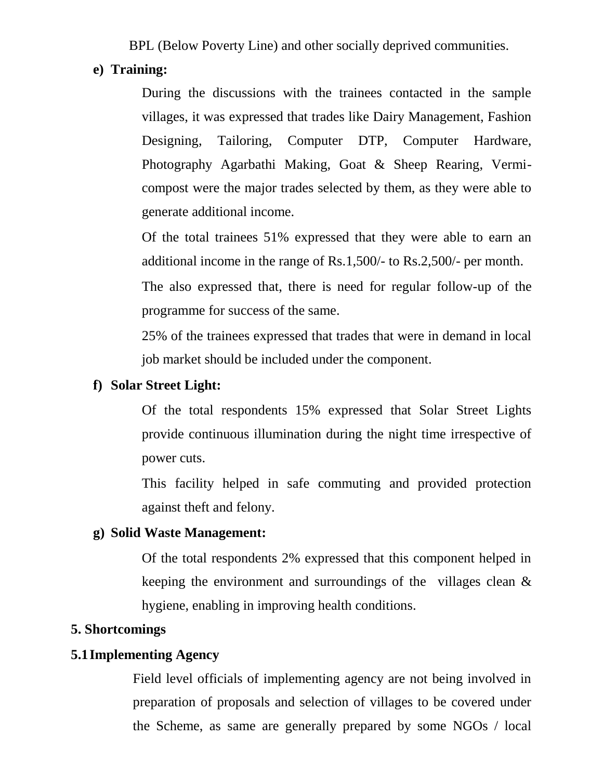BPL (Below Poverty Line) and other socially deprived communities.

## **e) Training:**

During the discussions with the trainees contacted in the sample villages, it was expressed that trades like Dairy Management, Fashion Designing, Tailoring, Computer DTP, Computer Hardware, Photography Agarbathi Making, Goat & Sheep Rearing, Vermicompost were the major trades selected by them, as they were able to generate additional income.

Of the total trainees 51% expressed that they were able to earn an additional income in the range of Rs.1,500/- to Rs.2,500/- per month.

The also expressed that, there is need for regular follow-up of the programme for success of the same.

25% of the trainees expressed that trades that were in demand in local job market should be included under the component.

#### **f) Solar Street Light:**

Of the total respondents 15% expressed that Solar Street Lights provide continuous illumination during the night time irrespective of power cuts.

This facility helped in safe commuting and provided protection against theft and felony.

#### **g) Solid Waste Management:**

Of the total respondents 2% expressed that this component helped in keeping the environment and surroundings of the villages clean & hygiene, enabling in improving health conditions.

#### **5. Shortcomings**

## **5.1Implementing Agency**

Field level officials of implementing agency are not being involved in preparation of proposals and selection of villages to be covered under the Scheme, as same are generally prepared by some NGOs / local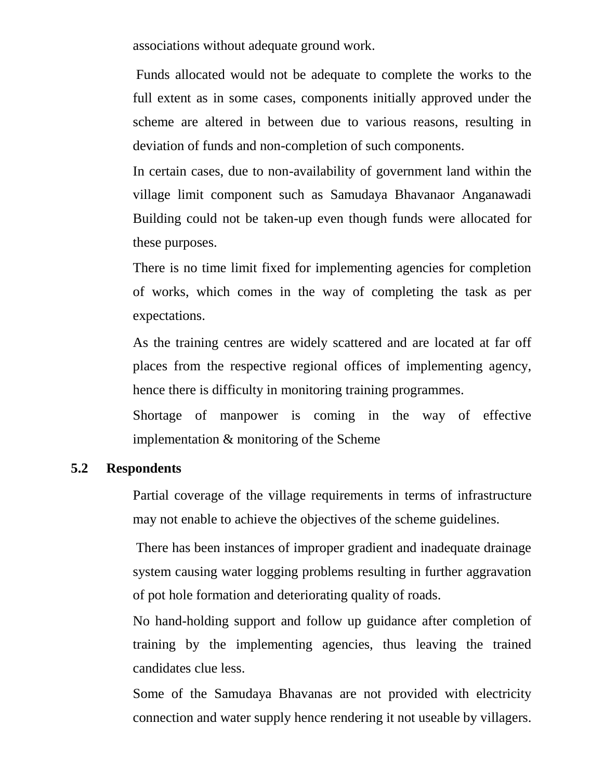associations without adequate ground work.

Funds allocated would not be adequate to complete the works to the full extent as in some cases, components initially approved under the scheme are altered in between due to various reasons, resulting in deviation of funds and non-completion of such components.

In certain cases, due to non-availability of government land within the village limit component such as Samudaya Bhavanaor Anganawadi Building could not be taken-up even though funds were allocated for these purposes.

There is no time limit fixed for implementing agencies for completion of works, which comes in the way of completing the task as per expectations.

As the training centres are widely scattered and are located at far off places from the respective regional offices of implementing agency, hence there is difficulty in monitoring training programmes.

Shortage of manpower is coming in the way of effective implementation & monitoring of the Scheme

## **5.2 Respondents**

Partial coverage of the village requirements in terms of infrastructure may not enable to achieve the objectives of the scheme guidelines.

There has been instances of improper gradient and inadequate drainage system causing water logging problems resulting in further aggravation of pot hole formation and deteriorating quality of roads.

No hand-holding support and follow up guidance after completion of training by the implementing agencies, thus leaving the trained candidates clue less.

Some of the Samudaya Bhavanas are not provided with electricity connection and water supply hence rendering it not useable by villagers.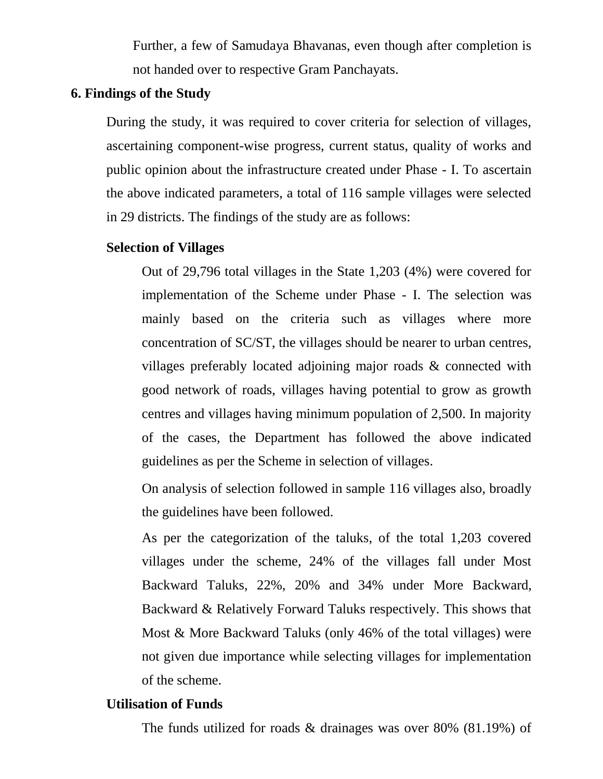Further, a few of Samudaya Bhavanas, even though after completion is not handed over to respective Gram Panchayats.

## **6. Findings of the Study**

During the study, it was required to cover criteria for selection of villages, ascertaining component-wise progress, current status, quality of works and public opinion about the infrastructure created under Phase - I. To ascertain the above indicated parameters, a total of 116 sample villages were selected in 29 districts. The findings of the study are as follows:

#### **Selection of Villages**

Out of 29,796 total villages in the State 1,203 (4%) were covered for implementation of the Scheme under Phase - I. The selection was mainly based on the criteria such as villages where more concentration of SC/ST, the villages should be nearer to urban centres, villages preferably located adjoining major roads & connected with good network of roads, villages having potential to grow as growth centres and villages having minimum population of 2,500. In majority of the cases, the Department has followed the above indicated guidelines as per the Scheme in selection of villages.

On analysis of selection followed in sample 116 villages also, broadly the guidelines have been followed.

As per the categorization of the taluks, of the total 1,203 covered villages under the scheme, 24% of the villages fall under Most Backward Taluks, 22%, 20% and 34% under More Backward, Backward & Relatively Forward Taluks respectively. This shows that Most & More Backward Taluks (only 46% of the total villages) were not given due importance while selecting villages for implementation of the scheme.

#### **Utilisation of Funds**

The funds utilized for roads & drainages was over 80% (81.19%) of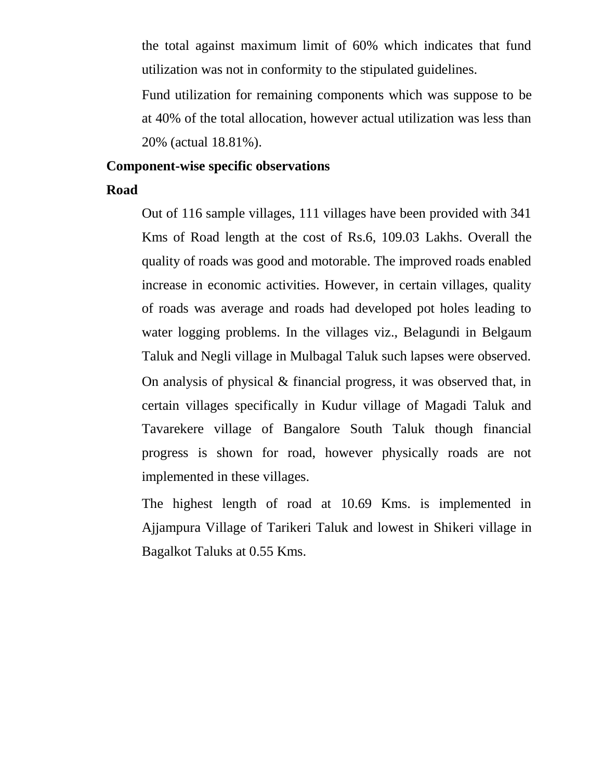the total against maximum limit of 60% which indicates that fund utilization was not in conformity to the stipulated guidelines.

Fund utilization for remaining components which was suppose to be at 40% of the total allocation, however actual utilization was less than 20% (actual 18.81%).

#### **Component-wise specific observations**

#### **Road**

Out of 116 sample villages, 111 villages have been provided with 341 Kms of Road length at the cost of Rs.6, 109.03 Lakhs. Overall the quality of roads was good and motorable. The improved roads enabled increase in economic activities. However, in certain villages, quality of roads was average and roads had developed pot holes leading to water logging problems. In the villages viz., Belagundi in Belgaum Taluk and Negli village in Mulbagal Taluk such lapses were observed. On analysis of physical & financial progress, it was observed that, in certain villages specifically in Kudur village of Magadi Taluk and Tavarekere village of Bangalore South Taluk though financial progress is shown for road, however physically roads are not implemented in these villages.

The highest length of road at 10.69 Kms. is implemented in Ajjampura Village of Tarikeri Taluk and lowest in Shikeri village in Bagalkot Taluks at 0.55 Kms.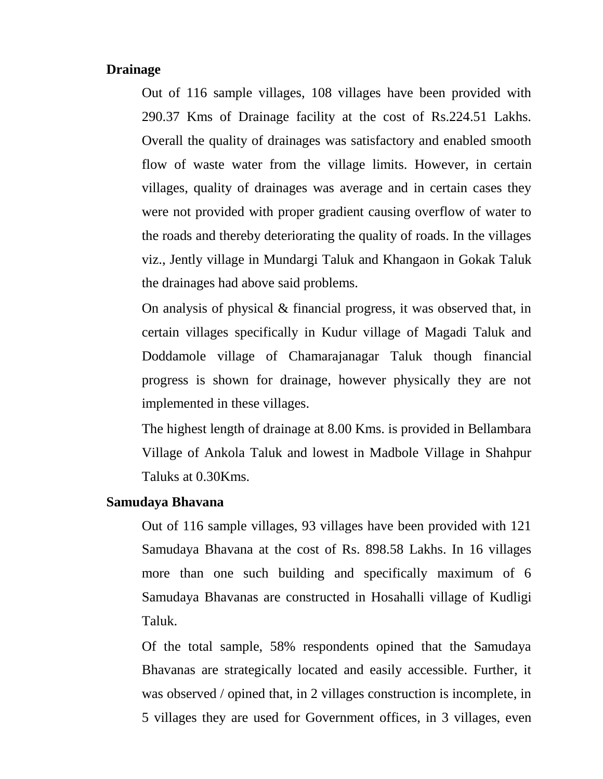#### **Drainage**

Out of 116 sample villages, 108 villages have been provided with 290.37 Kms of Drainage facility at the cost of Rs.224.51 Lakhs. Overall the quality of drainages was satisfactory and enabled smooth flow of waste water from the village limits. However, in certain villages, quality of drainages was average and in certain cases they were not provided with proper gradient causing overflow of water to the roads and thereby deteriorating the quality of roads. In the villages viz., Jently village in Mundargi Taluk and Khangaon in Gokak Taluk the drainages had above said problems.

On analysis of physical & financial progress, it was observed that, in certain villages specifically in Kudur village of Magadi Taluk and Doddamole village of Chamarajanagar Taluk though financial progress is shown for drainage, however physically they are not implemented in these villages.

The highest length of drainage at 8.00 Kms. is provided in Bellambara Village of Ankola Taluk and lowest in Madbole Village in Shahpur Taluks at 0.30Kms.

#### **Samudaya Bhavana**

Out of 116 sample villages, 93 villages have been provided with 121 Samudaya Bhavana at the cost of Rs. 898.58 Lakhs. In 16 villages more than one such building and specifically maximum of 6 Samudaya Bhavanas are constructed in Hosahalli village of Kudligi Taluk.

Of the total sample, 58% respondents opined that the Samudaya Bhavanas are strategically located and easily accessible. Further, it was observed / opined that, in 2 villages construction is incomplete, in 5 villages they are used for Government offices, in 3 villages, even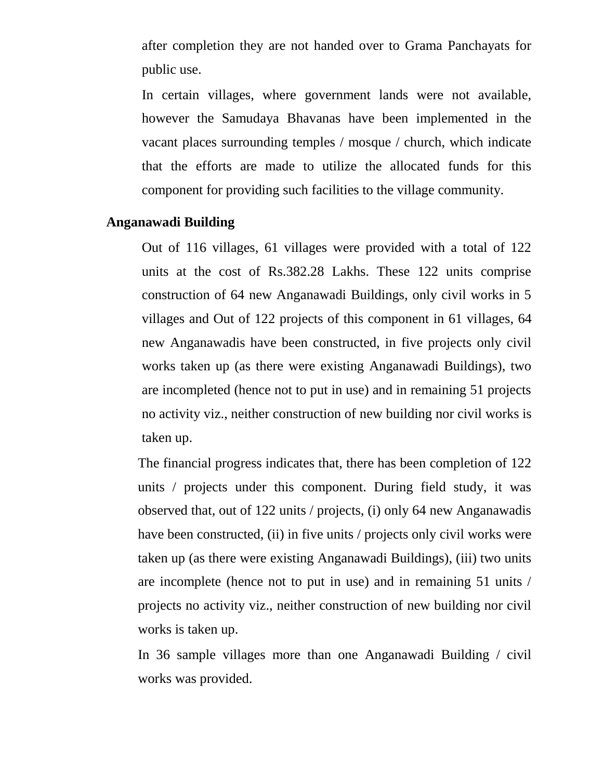after completion they are not handed over to Grama Panchayats for public use.

In certain villages, where government lands were not available, however the Samudaya Bhavanas have been implemented in the vacant places surrounding temples / mosque / church, which indicate that the efforts are made to utilize the allocated funds for this component for providing such facilities to the village community.

#### **Anganawadi Building**

Out of 116 villages, 61 villages were provided with a total of 122 units at the cost of Rs.382.28 Lakhs. These 122 units comprise construction of 64 new Anganawadi Buildings, only civil works in 5 villages and Out of 122 projects of this component in 61 villages, 64 new Anganawadis have been constructed, in five projects only civil works taken up (as there were existing Anganawadi Buildings), two are incompleted (hence not to put in use) and in remaining 51 projects no activity viz., neither construction of new building nor civil works is taken up.

The financial progress indicates that, there has been completion of 122 units / projects under this component. During field study, it was observed that, out of 122 units / projects, (i) only 64 new Anganawadis have been constructed, (ii) in five units / projects only civil works were taken up (as there were existing Anganawadi Buildings), (iii) two units are incomplete (hence not to put in use) and in remaining 51 units / projects no activity viz., neither construction of new building nor civil works is taken up.

In 36 sample villages more than one Anganawadi Building / civil works was provided.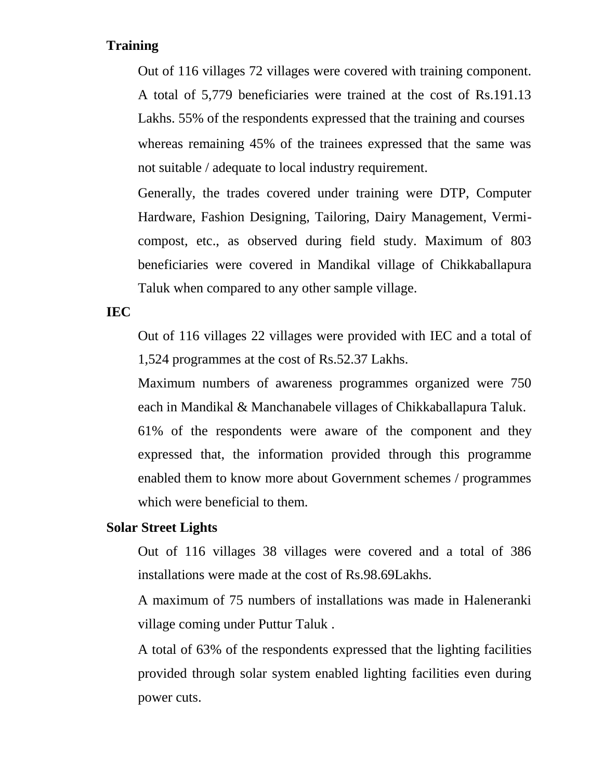## **Training**

Out of 116 villages 72 villages were covered with training component. A total of 5,779 beneficiaries were trained at the cost of Rs.191.13 Lakhs. 55% of the respondents expressed that the training and courses whereas remaining 45% of the trainees expressed that the same was not suitable / adequate to local industry requirement.

Generally, the trades covered under training were DTP, Computer Hardware, Fashion Designing, Tailoring, Dairy Management, Vermicompost, etc., as observed during field study. Maximum of 803 beneficiaries were covered in Mandikal village of Chikkaballapura Taluk when compared to any other sample village.

## **IEC**

Out of 116 villages 22 villages were provided with IEC and a total of 1,524 programmes at the cost of Rs.52.37 Lakhs.

Maximum numbers of awareness programmes organized were 750 each in Mandikal & Manchanabele villages of Chikkaballapura Taluk.

61% of the respondents were aware of the component and they expressed that, the information provided through this programme enabled them to know more about Government schemes / programmes which were beneficial to them.

## **Solar Street Lights**

Out of 116 villages 38 villages were covered and a total of 386 installations were made at the cost of Rs.98.69Lakhs.

A maximum of 75 numbers of installations was made in Haleneranki village coming under Puttur Taluk .

A total of 63% of the respondents expressed that the lighting facilities provided through solar system enabled lighting facilities even during power cuts.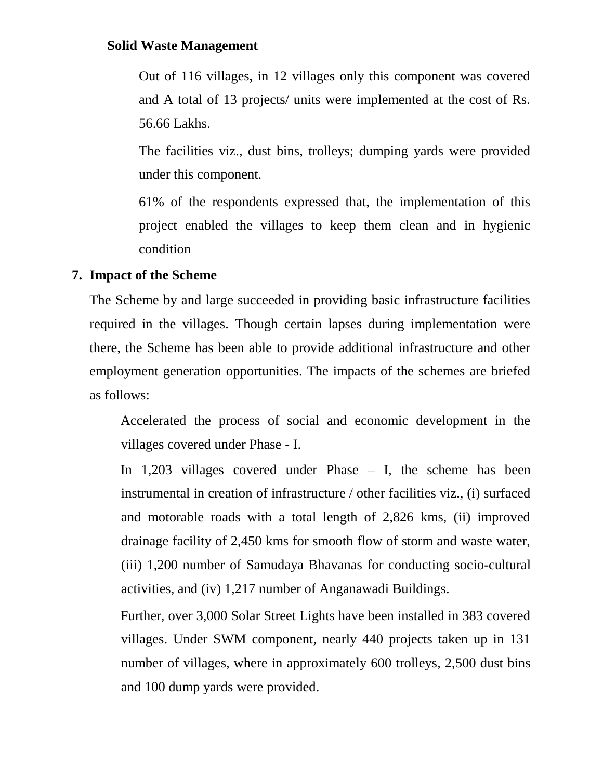## **Solid Waste Management**

Out of 116 villages, in 12 villages only this component was covered and A total of 13 projects/ units were implemented at the cost of Rs. 56.66 Lakhs.

The facilities viz., dust bins, trolleys; dumping yards were provided under this component.

61% of the respondents expressed that, the implementation of this project enabled the villages to keep them clean and in hygienic condition

## **7. Impact of the Scheme**

The Scheme by and large succeeded in providing basic infrastructure facilities required in the villages. Though certain lapses during implementation were there, the Scheme has been able to provide additional infrastructure and other employment generation opportunities. The impacts of the schemes are briefed as follows:

Accelerated the process of social and economic development in the villages covered under Phase - I.

In 1,203 villages covered under Phase – I, the scheme has been instrumental in creation of infrastructure / other facilities viz., (i) surfaced and motorable roads with a total length of 2,826 kms, (ii) improved drainage facility of 2,450 kms for smooth flow of storm and waste water, (iii) 1,200 number of Samudaya Bhavanas for conducting socio-cultural activities, and (iv) 1,217 number of Anganawadi Buildings.

Further, over 3,000 Solar Street Lights have been installed in 383 covered villages. Under SWM component, nearly 440 projects taken up in 131 number of villages, where in approximately 600 trolleys, 2,500 dust bins and 100 dump yards were provided.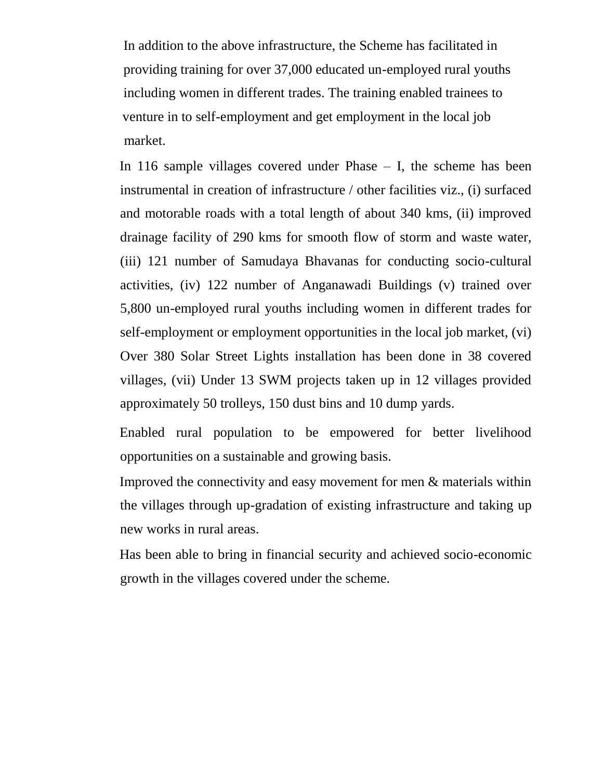In addition to the above infrastructure, the Scheme has facilitated in providing training for over 37,000 educated un-employed rural youths including women in different trades. The training enabled trainees to venture in to self-employment and get employment in the local job market.

In 116 sample villages covered under Phase – I, the scheme has been instrumental in creation of infrastructure / other facilities viz., (i) surfaced and motorable roads with a total length of about 340 kms, (ii) improved drainage facility of 290 kms for smooth flow of storm and waste water, (iii) 121 number of Samudaya Bhavanas for conducting socio-cultural activities, (iv) 122 number of Anganawadi Buildings (v) trained over 5,800 un-employed rural youths including women in different trades for self-employment or employment opportunities in the local job market, (vi) Over 380 Solar Street Lights installation has been done in 38 covered villages, (vii) Under 13 SWM projects taken up in 12 villages provided approximately 50 trolleys, 150 dust bins and 10 dump yards.

Enabled rural population to be empowered for better livelihood opportunities on a sustainable and growing basis.

Improved the connectivity and easy movement for men & materials within the villages through up-gradation of existing infrastructure and taking up new works in rural areas.

Has been able to bring in financial security and achieved socio-economic growth in the villages covered under the scheme.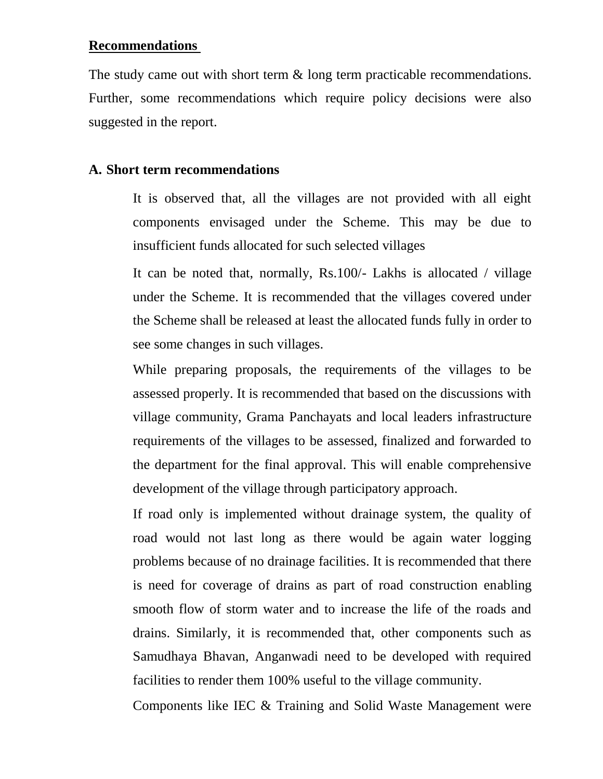#### **Recommendations**

The study came out with short term  $\&$  long term practicable recommendations. Further, some recommendations which require policy decisions were also suggested in the report.

## **A. Short term recommendations**

It is observed that, all the villages are not provided with all eight components envisaged under the Scheme. This may be due to insufficient funds allocated for such selected villages

It can be noted that, normally, Rs.100/- Lakhs is allocated / village under the Scheme. It is recommended that the villages covered under the Scheme shall be released at least the allocated funds fully in order to see some changes in such villages.

While preparing proposals, the requirements of the villages to be assessed properly. It is recommended that based on the discussions with village community, Grama Panchayats and local leaders infrastructure requirements of the villages to be assessed, finalized and forwarded to the department for the final approval. This will enable comprehensive development of the village through participatory approach.

If road only is implemented without drainage system, the quality of road would not last long as there would be again water logging problems because of no drainage facilities. It is recommended that there is need for coverage of drains as part of road construction enabling smooth flow of storm water and to increase the life of the roads and drains. Similarly, it is recommended that, other components such as Samudhaya Bhavan, Anganwadi need to be developed with required facilities to render them 100% useful to the village community.

Components like IEC & Training and Solid Waste Management were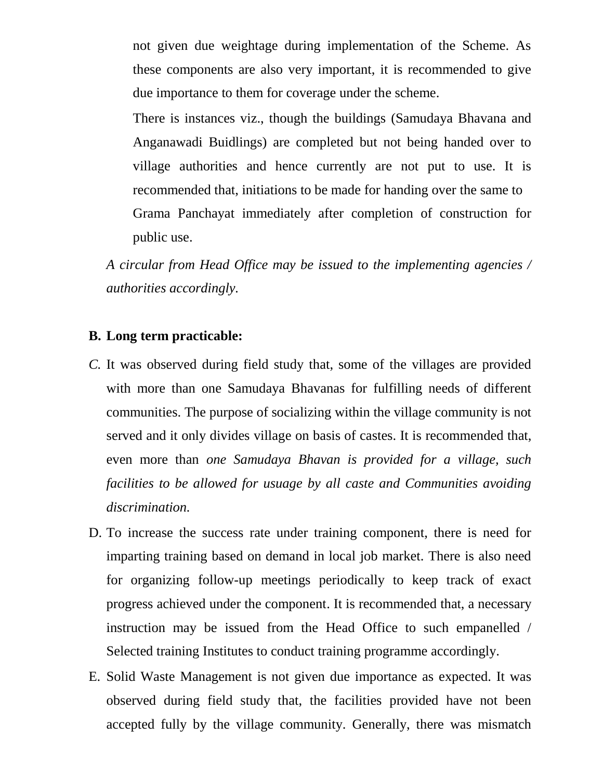not given due weightage during implementation of the Scheme. As these components are also very important, it is recommended to give due importance to them for coverage under the scheme.

There is instances viz., though the buildings (Samudaya Bhavana and Anganawadi Buidlings) are completed but not being handed over to village authorities and hence currently are not put to use. It is recommended that, initiations to be made for handing over the same to Grama Panchayat immediately after completion of construction for public use.

*A circular from Head Office may be issued to the implementing agencies / authorities accordingly.*

### **B. Long term practicable:**

- *C.* It was observed during field study that, some of the villages are provided with more than one Samudaya Bhavanas for fulfilling needs of different communities. The purpose of socializing within the village community is not served and it only divides village on basis of castes. It is recommended that, even more than *one Samudaya Bhavan is provided for a village, such facilities to be allowed for usuage by all caste and Communities avoiding discrimination.*
- D. To increase the success rate under training component, there is need for imparting training based on demand in local job market. There is also need for organizing follow-up meetings periodically to keep track of exact progress achieved under the component. It is recommended that, a necessary instruction may be issued from the Head Office to such empanelled / Selected training Institutes to conduct training programme accordingly.
- E. Solid Waste Management is not given due importance as expected. It was observed during field study that, the facilities provided have not been accepted fully by the village community. Generally, there was mismatch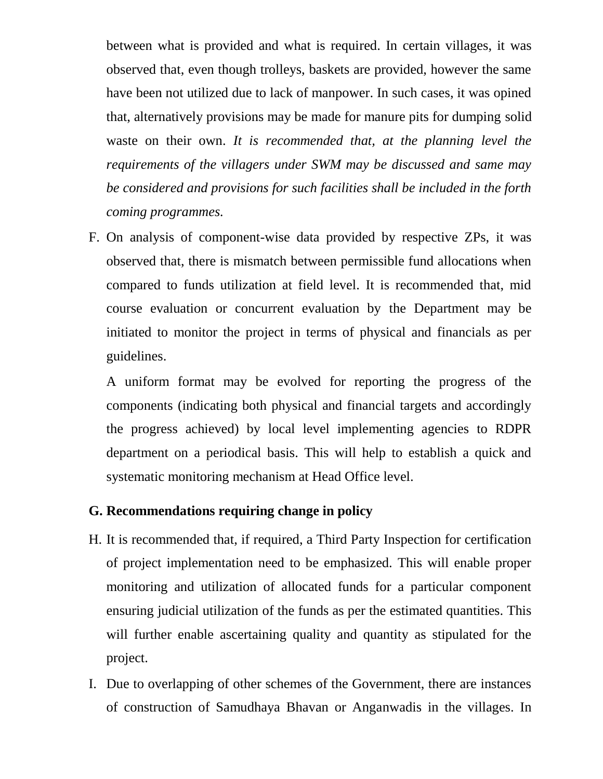between what is provided and what is required. In certain villages, it was observed that, even though trolleys, baskets are provided, however the same have been not utilized due to lack of manpower. In such cases, it was opined that, alternatively provisions may be made for manure pits for dumping solid waste on their own. *It is recommended that, at the planning level the requirements of the villagers under SWM may be discussed and same may be considered and provisions for such facilities shall be included in the forth coming programmes.* 

F. On analysis of component-wise data provided by respective ZPs, it was observed that, there is mismatch between permissible fund allocations when compared to funds utilization at field level. It is recommended that, mid course evaluation or concurrent evaluation by the Department may be initiated to monitor the project in terms of physical and financials as per guidelines.

A uniform format may be evolved for reporting the progress of the components (indicating both physical and financial targets and accordingly the progress achieved) by local level implementing agencies to RDPR department on a periodical basis. This will help to establish a quick and systematic monitoring mechanism at Head Office level.

## **G. Recommendations requiring change in policy**

- H. It is recommended that, if required, a Third Party Inspection for certification of project implementation need to be emphasized. This will enable proper monitoring and utilization of allocated funds for a particular component ensuring judicial utilization of the funds as per the estimated quantities. This will further enable ascertaining quality and quantity as stipulated for the project.
- I. Due to overlapping of other schemes of the Government, there are instances of construction of Samudhaya Bhavan or Anganwadis in the villages. In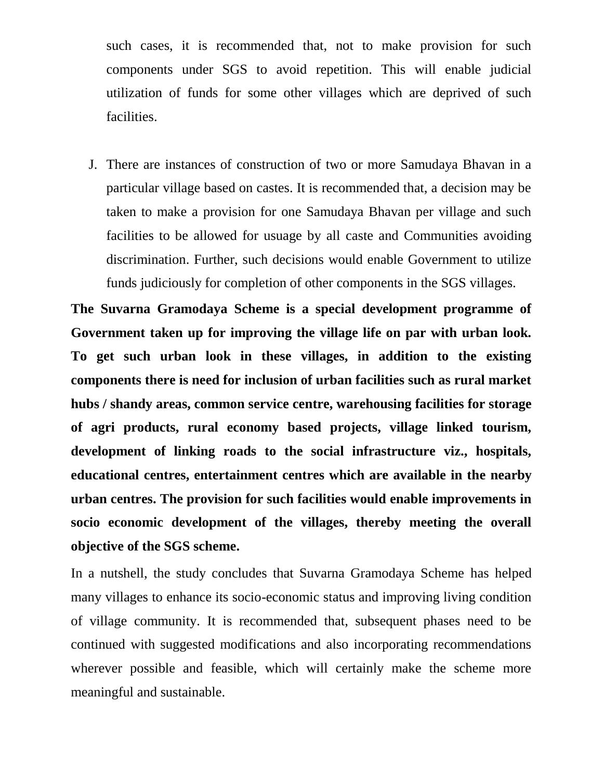such cases, it is recommended that, not to make provision for such components under SGS to avoid repetition. This will enable judicial utilization of funds for some other villages which are deprived of such facilities.

J. There are instances of construction of two or more Samudaya Bhavan in a particular village based on castes. It is recommended that, a decision may be taken to make a provision for one Samudaya Bhavan per village and such facilities to be allowed for usuage by all caste and Communities avoiding discrimination. Further, such decisions would enable Government to utilize funds judiciously for completion of other components in the SGS villages.

**The Suvarna Gramodaya Scheme is a special development programme of Government taken up for improving the village life on par with urban look. To get such urban look in these villages, in addition to the existing components there is need for inclusion of urban facilities such as rural market hubs / shandy areas, common service centre, warehousing facilities for storage of agri products, rural economy based projects, village linked tourism, development of linking roads to the social infrastructure viz., hospitals, educational centres, entertainment centres which are available in the nearby urban centres. The provision for such facilities would enable improvements in socio economic development of the villages, thereby meeting the overall objective of the SGS scheme.**

In a nutshell, the study concludes that Suvarna Gramodaya Scheme has helped many villages to enhance its socio-economic status and improving living condition of village community. It is recommended that, subsequent phases need to be continued with suggested modifications and also incorporating recommendations wherever possible and feasible, which will certainly make the scheme more meaningful and sustainable.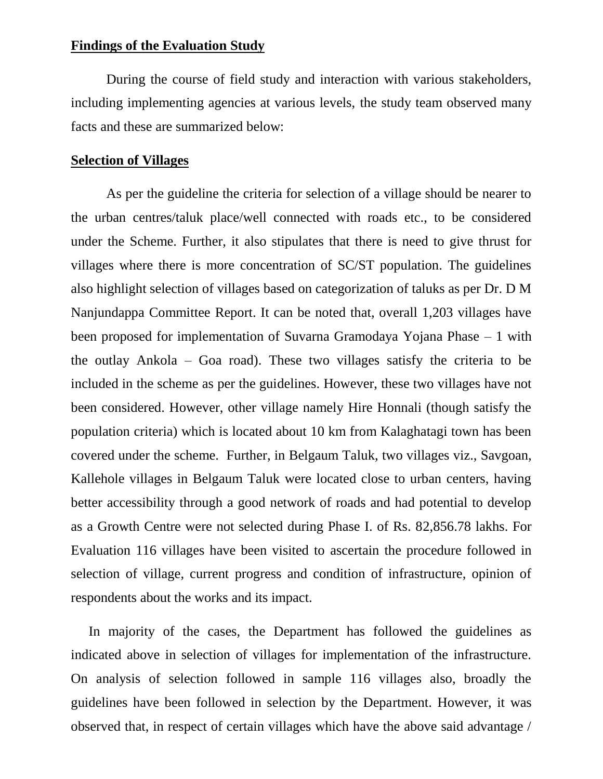#### **Findings of the Evaluation Study**

During the course of field study and interaction with various stakeholders, including implementing agencies at various levels, the study team observed many facts and these are summarized below:

#### **Selection of Villages**

As per the guideline the criteria for selection of a village should be nearer to the urban centres/taluk place/well connected with roads etc., to be considered under the Scheme. Further, it also stipulates that there is need to give thrust for villages where there is more concentration of SC/ST population. The guidelines also highlight selection of villages based on categorization of taluks as per Dr. D M Nanjundappa Committee Report. It can be noted that, overall 1,203 villages have been proposed for implementation of Suvarna Gramodaya Yojana Phase – 1 with the outlay Ankola – Goa road). These two villages satisfy the criteria to be included in the scheme as per the guidelines. However, these two villages have not been considered. However, other village namely Hire Honnali (though satisfy the population criteria) which is located about 10 km from Kalaghatagi town has been covered under the scheme. Further, in Belgaum Taluk, two villages viz., Savgoan, Kallehole villages in Belgaum Taluk were located close to urban centers, having better accessibility through a good network of roads and had potential to develop as a Growth Centre were not selected during Phase I. of Rs. 82,856.78 lakhs. For Evaluation 116 villages have been visited to ascertain the procedure followed in selection of village, current progress and condition of infrastructure, opinion of respondents about the works and its impact.

In majority of the cases, the Department has followed the guidelines as indicated above in selection of villages for implementation of the infrastructure. On analysis of selection followed in sample 116 villages also, broadly the guidelines have been followed in selection by the Department. However, it was observed that, in respect of certain villages which have the above said advantage /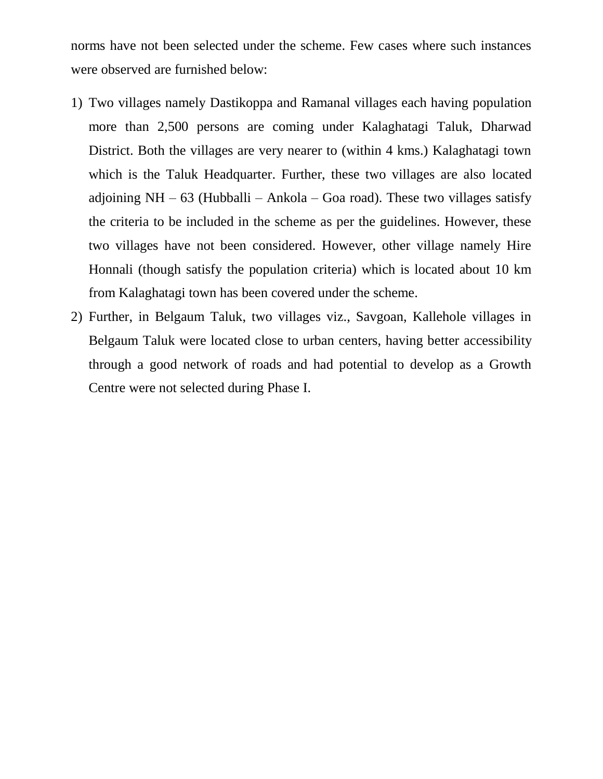norms have not been selected under the scheme. Few cases where such instances were observed are furnished below:

- 1) Two villages namely Dastikoppa and Ramanal villages each having population more than 2,500 persons are coming under Kalaghatagi Taluk, Dharwad District. Both the villages are very nearer to (within 4 kms.) Kalaghatagi town which is the Taluk Headquarter. Further, these two villages are also located adjoining  $NH - 63$  (Hubballi – Ankola – Goa road). These two villages satisfy the criteria to be included in the scheme as per the guidelines. However, these two villages have not been considered. However, other village namely Hire Honnali (though satisfy the population criteria) which is located about 10 km from Kalaghatagi town has been covered under the scheme.
- 2) Further, in Belgaum Taluk, two villages viz., Savgoan, Kallehole villages in Belgaum Taluk were located close to urban centers, having better accessibility through a good network of roads and had potential to develop as a Growth Centre were not selected during Phase I.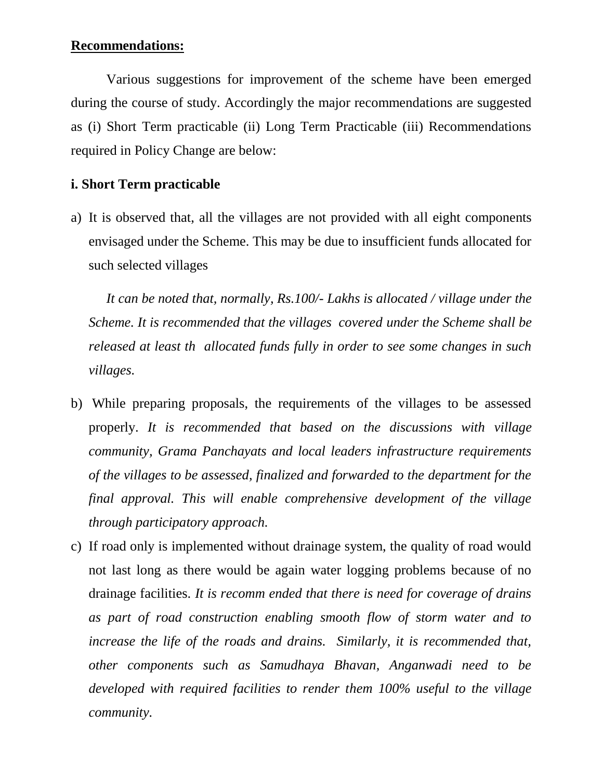## **Recommendations:**

Various suggestions for improvement of the scheme have been emerged during the course of study. Accordingly the major recommendations are suggested as (i) Short Term practicable (ii) Long Term Practicable (iii) Recommendations required in Policy Change are below:

## **i. Short Term practicable**

a) It is observed that, all the villages are not provided with all eight components envisaged under the Scheme. This may be due to insufficient funds allocated for such selected villages

*It can be noted that, normally, Rs.100/- Lakhs is allocated / village under the Scheme. It is recommended that the villages covered under the Scheme shall be released at least th allocated funds fully in order to see some changes in such villages.*

- b) While preparing proposals, the requirements of the villages to be assessed properly. *It is recommended that based on the discussions with village community, Grama Panchayats and local leaders infrastructure requirements of the villages to be assessed, finalized and forwarded to the department for the final approval. This will enable comprehensive development of the village through participatory approach.*
- c) If road only is implemented without drainage system, the quality of road would not last long as there would be again water logging problems because of no drainage facilities. *It is recomm ended that there is need for coverage of drains as part of road construction enabling smooth flow of storm water and to increase the life of the roads and drains. Similarly, it is recommended that, other components such as Samudhaya Bhavan, Anganwadi need to be developed with required facilities to render them 100% useful to the village community.*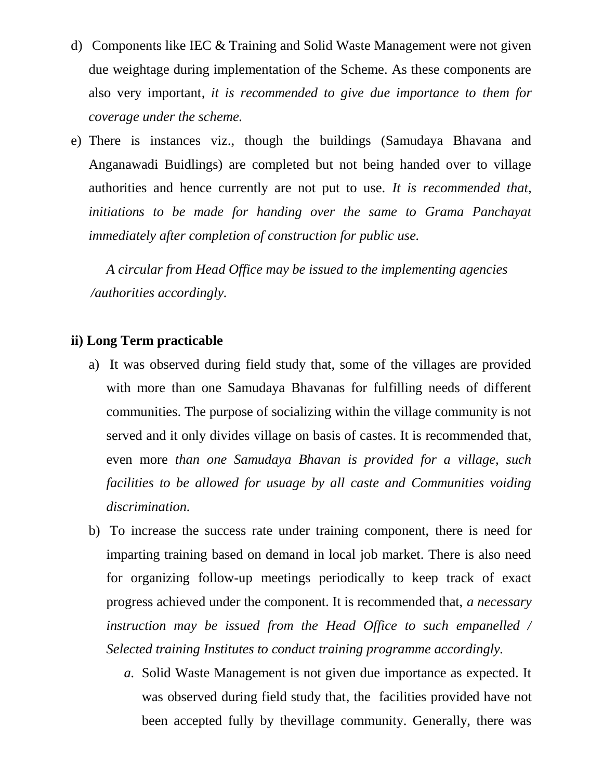- d) Components like IEC & Training and Solid Waste Management were not given due weightage during implementation of the Scheme. As these components are also very important*, it is recommended to give due importance to them for coverage under the scheme.*
- e) There is instances viz., though the buildings (Samudaya Bhavana and Anganawadi Buidlings) are completed but not being handed over to village authorities and hence currently are not put to use. *It is recommended that, initiations to be made for handing over the same to Grama Panchayat immediately after completion of construction for public use.*

*A circular from Head Office may be issued to the implementing agencies /authorities accordingly.*

## **ii) Long Term practicable**

- a) It was observed during field study that, some of the villages are provided with more than one Samudaya Bhavanas for fulfilling needs of different communities. The purpose of socializing within the village community is not served and it only divides village on basis of castes. It is recommended that, even more *than one Samudaya Bhavan is provided for a village, such facilities to be allowed for usuage by all caste and Communities voiding discrimination.*
- b) To increase the success rate under training component, there is need for imparting training based on demand in local job market. There is also need for organizing follow-up meetings periodically to keep track of exact progress achieved under the component. It is recommended that, *a necessary instruction may be issued from the Head Office to such empanelled / Selected training Institutes to conduct training programme accordingly.* 
	- *a.* Solid Waste Management is not given due importance as expected. It was observed during field study that, the facilities provided have not been accepted fully by thevillage community. Generally, there was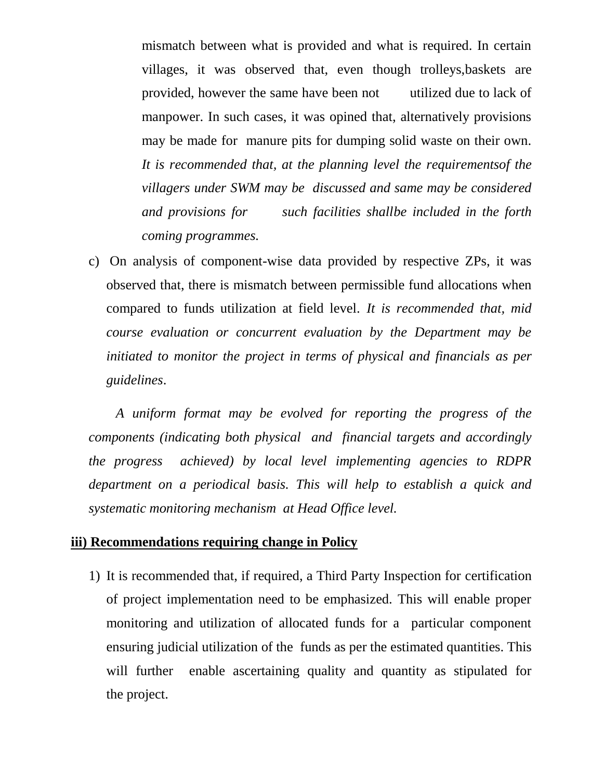mismatch between what is provided and what is required. In certain villages, it was observed that, even though trolleys,baskets are provided, however the same have been not utilized due to lack of manpower. In such cases, it was opined that, alternatively provisions may be made for manure pits for dumping solid waste on their own. *It is recommended that, at the planning level the requirementsof the villagers under SWM may be discussed and same may be considered and provisions for such facilities shallbe included in the forth coming programmes.*

c) On analysis of component-wise data provided by respective ZPs, it was observed that, there is mismatch between permissible fund allocations when compared to funds utilization at field level. *It is recommended that, mid course evaluation or concurrent evaluation by the Department may be initiated to monitor the project in terms of physical and financials as per guidelines*.

*A uniform format may be evolved for reporting the progress of the components (indicating both physical and financial targets and accordingly the progress achieved) by local level implementing agencies to RDPR department on a periodical basis. This will help to establish a quick and systematic monitoring mechanism at Head Office level.*

## **iii) Recommendations requiring change in Policy**

1) It is recommended that, if required, a Third Party Inspection for certification of project implementation need to be emphasized. This will enable proper monitoring and utilization of allocated funds for a particular component ensuring judicial utilization of the funds as per the estimated quantities. This will further enable ascertaining quality and quantity as stipulated for the project.